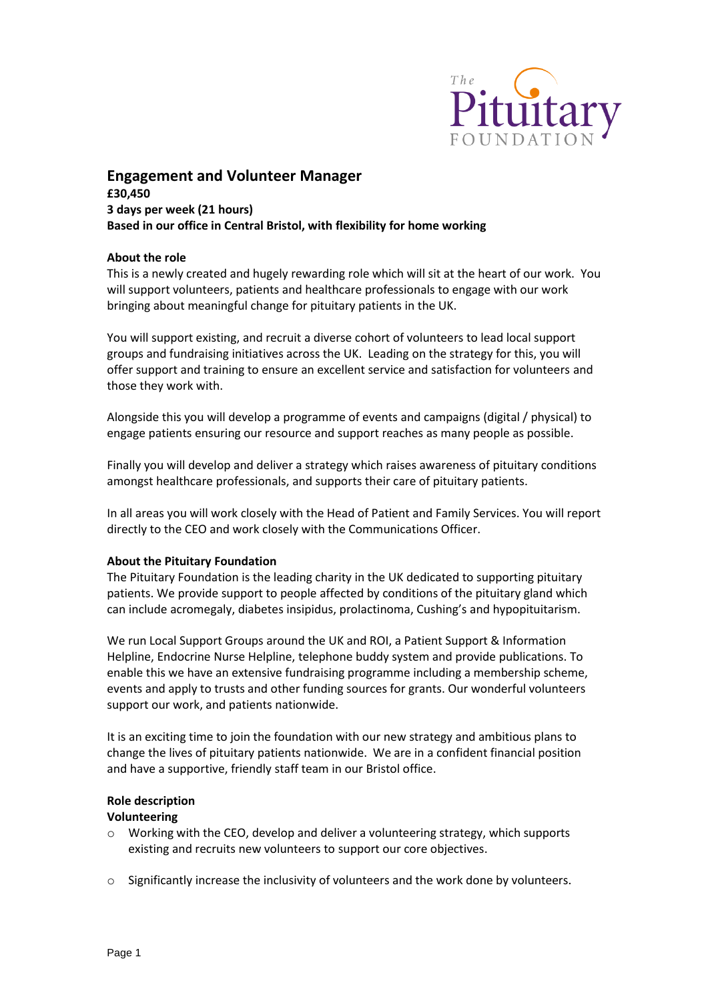

# **Engagement and Volunteer Manager £30,450 3 days per week (21 hours) Based in our office in Central Bristol, with flexibility for home working**

## **About the role**

This is a newly created and hugely rewarding role which will sit at the heart of our work. You will support volunteers, patients and healthcare professionals to engage with our work bringing about meaningful change for pituitary patients in the UK.

You will support existing, and recruit a diverse cohort of volunteers to lead local support groups and fundraising initiatives across the UK. Leading on the strategy for this, you will offer support and training to ensure an excellent service and satisfaction for volunteers and those they work with.

Alongside this you will develop a programme of events and campaigns (digital / physical) to engage patients ensuring our resource and support reaches as many people as possible.

Finally you will develop and deliver a strategy which raises awareness of pituitary conditions amongst healthcare professionals, and supports their care of pituitary patients.

In all areas you will work closely with the Head of Patient and Family Services. You will report directly to the CEO and work closely with the Communications Officer.

#### **About the Pituitary Foundation**

The Pituitary Foundation is the leading charity in the UK dedicated to supporting pituitary patients. We provide support to people affected by conditions of the pituitary gland which can include acromegaly, diabetes insipidus, prolactinoma, Cushing's and hypopituitarism.

We run Local Support Groups around the UK and ROI, a Patient Support & Information Helpline, Endocrine Nurse Helpline, telephone buddy system and provide publications. To enable this we have an extensive fundraising programme including a membership scheme, events and apply to trusts and other funding sources for grants. Our wonderful volunteers support our work, and patients nationwide.

It is an exciting time to join the foundation with our new strategy and ambitious plans to change the lives of pituitary patients nationwide. We are in a confident financial position and have a supportive, friendly staff team in our Bristol office.

### **Role description**

#### **Volunteering**

- $\circ$  Working with the CEO, develop and deliver a volunteering strategy, which supports existing and recruits new volunteers to support our core objectives.
- $\circ$  Significantly increase the inclusivity of volunteers and the work done by volunteers.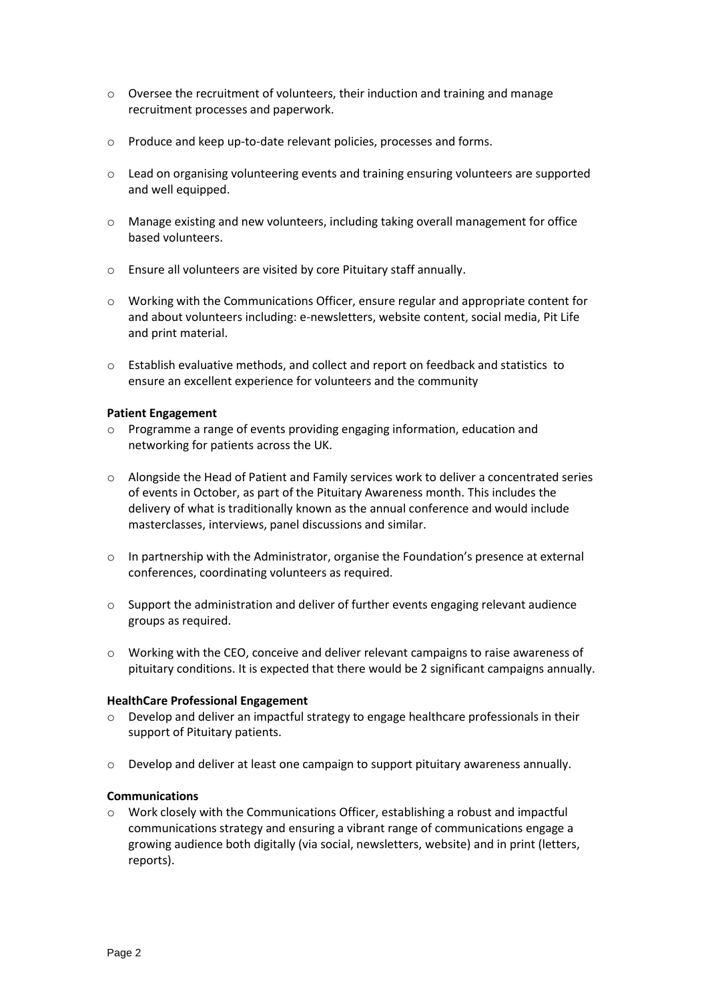- o Oversee the recruitment of volunteers, their induction and training and manage recruitment processes and paperwork.
- o Produce and keep up-to-date relevant policies, processes and forms.
- $\circ$  Lead on organising volunteering events and training ensuring volunteers are supported and well equipped.
- o Manage existing and new volunteers, including taking overall management for office based volunteers.
- o Ensure all volunteers are visited by core Pituitary staff annually.
- o Working with the Communications Officer, ensure regular and appropriate content for and about volunteers including: e-newsletters, website content, social media, Pit Life and print material.
- o Establish evaluative methods, and collect and report on feedback and statistics to ensure an excellent experience for volunteers and the community

## **Patient Engagement**

- o Programme a range of events providing engaging information, education and networking for patients across the UK.
- o Alongside the Head of Patient and Family services work to deliver a concentrated series of events in October, as part of the Pituitary Awareness month. This includes the delivery of what is traditionally known as the annual conference and would include masterclasses, interviews, panel discussions and similar.
- o In partnership with the Administrator, organise the Foundation's presence at external conferences, coordinating volunteers as required.
- $\circ$  Support the administration and deliver of further events engaging relevant audience groups as required.
- o Working with the CEO, conceive and deliver relevant campaigns to raise awareness of pituitary conditions. It is expected that there would be 2 significant campaigns annually.

## **HealthCare Professional Engagement**

- $\circ$  Develop and deliver an impactful strategy to engage healthcare professionals in their support of Pituitary patients.
- $\circ$  Develop and deliver at least one campaign to support pituitary awareness annually.

## **Communications**

 $\circ$  Work closely with the Communications Officer, establishing a robust and impactful communications strategy and ensuring a vibrant range of communications engage a growing audience both digitally (via social, newsletters, website) and in print (letters, reports).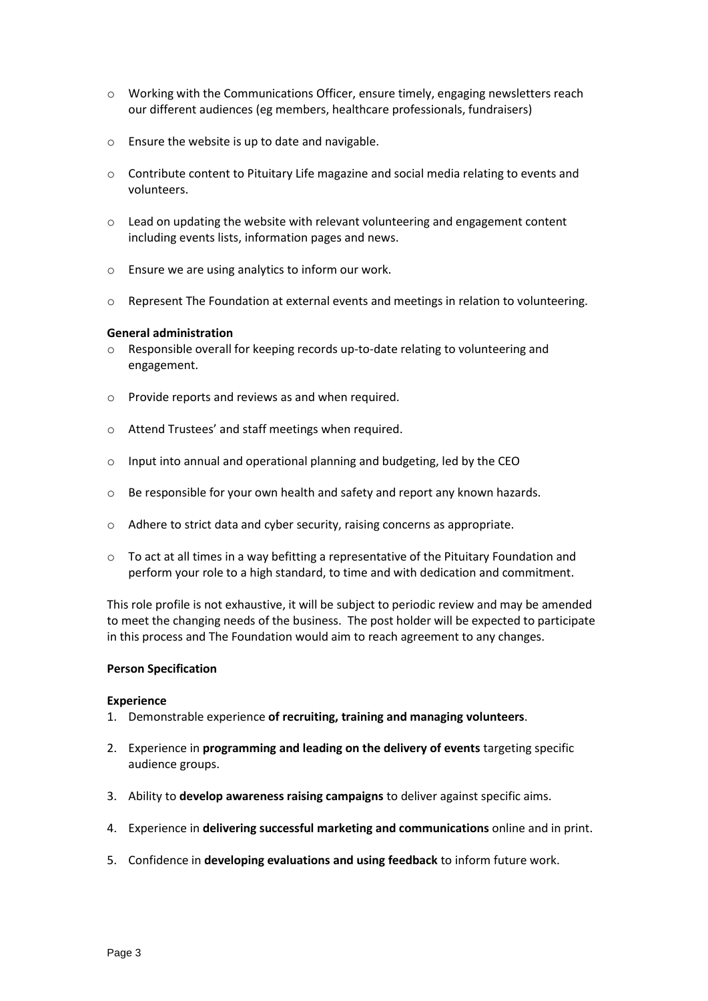- o Working with the Communications Officer, ensure timely, engaging newsletters reach our different audiences (eg members, healthcare professionals, fundraisers)
- o Ensure the website is up to date and navigable.
- $\circ$  Contribute content to Pituitary Life magazine and social media relating to events and volunteers.
- o Lead on updating the website with relevant volunteering and engagement content including events lists, information pages and news.
- o Ensure we are using analytics to inform our work.
- o Represent The Foundation at external events and meetings in relation to volunteering.

#### **General administration**

- o Responsible overall for keeping records up-to-date relating to volunteering and engagement.
- o Provide reports and reviews as and when required.
- o Attend Trustees' and staff meetings when required.
- o Input into annual and operational planning and budgeting, led by the CEO
- o Be responsible for your own health and safety and report any known hazards.
- o Adhere to strict data and cyber security, raising concerns as appropriate.
- $\circ$  To act at all times in a way befitting a representative of the Pituitary Foundation and perform your role to a high standard, to time and with dedication and commitment.

This role profile is not exhaustive, it will be subject to periodic review and may be amended to meet the changing needs of the business. The post holder will be expected to participate in this process and The Foundation would aim to reach agreement to any changes.

#### **Person Specification**

### **Experience**

- 1. Demonstrable experience **of recruiting, training and managing volunteers**.
- 2. Experience in **programming and leading on the delivery of events** targeting specific audience groups.
- 3. Ability to **develop awareness raising campaigns** to deliver against specific aims.
- 4. Experience in **delivering successful marketing and communications** online and in print.
- 5. Confidence in **developing evaluations and using feedback** to inform future work.